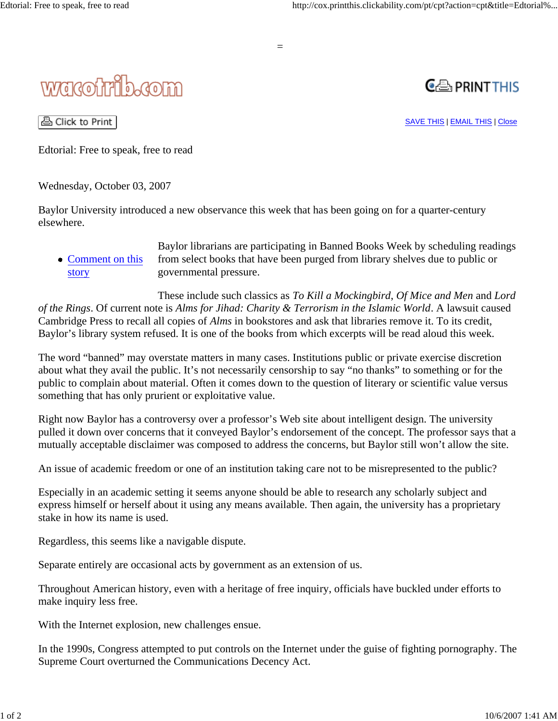

## wacotrib.com



△ Click to Print

SAVE THIS | EMAIL THIS | Close

Edtorial: Free to speak, free to read

Wednesday, October 03, 2007

Baylor University introduced a new observance this week that has been going on for a quarter-century elsewhere.

• Comment on this story Baylor librarians are participating in Banned Books Week by scheduling readings from select books that have been purged from library shelves due to public or governmental pressure.

These include such classics as *To Kill a Mockingbird*, *Of Mice and Men* and *Lord of the Rings*. Of current note is *Alms for Jihad: Charity & Terrorism in the Islamic World*. A lawsuit caused Cambridge Press to recall all copies of *Alms* in bookstores and ask that libraries remove it. To its credit, Baylor's library system refused. It is one of the books from which excerpts will be read aloud this week.

The word "banned" may overstate matters in many cases. Institutions public or private exercise discretion about what they avail the public. It's not necessarily censorship to say "no thanks" to something or for the public to complain about material. Often it comes down to the question of literary or scientific value versus something that has only prurient or exploitative value.

Right now Baylor has a controversy over a professor's Web site about intelligent design. The university pulled it down over concerns that it conveyed Baylor's endorsement of the concept. The professor says that a mutually acceptable disclaimer was composed to address the concerns, but Baylor still won't allow the site.

An issue of academic freedom or one of an institution taking care not to be misrepresented to the public?

Especially in an academic setting it seems anyone should be able to research any scholarly subject and express himself or herself about it using any means available. Then again, the university has a proprietary stake in how its name is used.

Regardless, this seems like a navigable dispute.

Separate entirely are occasional acts by government as an extension of us.

Throughout American history, even with a heritage of free inquiry, officials have buckled under efforts to make inquiry less free.

With the Internet explosion, new challenges ensue.

In the 1990s, Congress attempted to put controls on the Internet under the guise of fighting pornography. The Supreme Court overturned the Communications Decency Act.